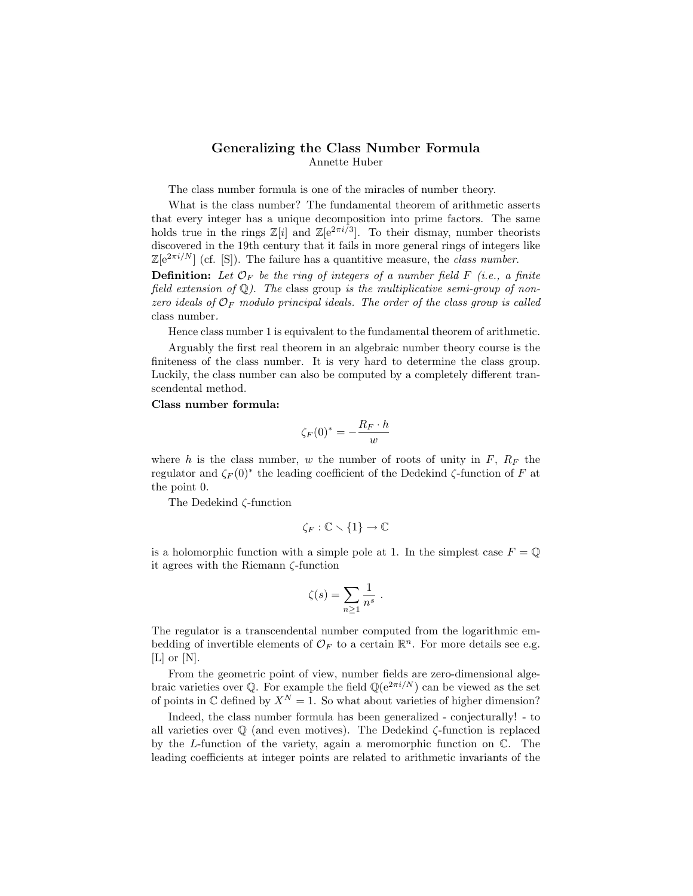## Generalizing the Class Number Formula Annette Huber

The class number formula is one of the miracles of number theory.

What is the class number? The fundamental theorem of arithmetic asserts that every integer has a unique decomposition into prime factors. The same holds true in the rings  $\mathbb{Z}[i]$  and  $\mathbb{Z}[e^{2\pi i/3}]$ . To their dismay, number theorists discovered in the 19th century that it fails in more general rings of integers like  $\mathbb{Z}[e^{2\pi i/N}]$  (cf. [S]). The failure has a quantitive measure, the class number.

**Definition:** Let  $\mathcal{O}_F$  be the ring of integers of a number field F (i.e., a finite field extension of  $\mathbb{Q}$ ). The class group is the multiplicative semi-group of nonzero ideals of  $\mathcal{O}_F$  modulo principal ideals. The order of the class group is called class number.

Hence class number 1 is equivalent to the fundamental theorem of arithmetic.

Arguably the first real theorem in an algebraic number theory course is the finiteness of the class number. It is very hard to determine the class group. Luckily, the class number can also be computed by a completely different transcendental method.

## Class number formula:

$$
\zeta_F(0)^* = -\frac{R_F \cdot h}{w}
$$

where h is the class number, w the number of roots of unity in  $F, R_F$  the regulator and  $\zeta_F(0)^*$  the leading coefficient of the Dedekind  $\zeta$ -function of F at the point 0.

The Dedekind ζ-function

$$
\zeta_F:\mathbb{C}\smallsetminus\{1\}\to\mathbb{C}
$$

is a holomorphic function with a simple pole at 1. In the simplest case  $F = \mathbb{Q}$ it agrees with the Riemann ζ-function

$$
\zeta(s) = \sum_{n\geq 1} \frac{1}{n^s} .
$$

The regulator is a transcendental number computed from the logarithmic embedding of invertible elements of  $\mathcal{O}_F$  to a certain  $\mathbb{R}^n$ . For more details see e.g. [L] or [N].

From the geometric point of view, number fields are zero-dimensional algebraic varieties over  $\mathbb{Q}$ . For example the field  $\mathbb{Q}(e^{2\pi i/N})$  can be viewed as the set of points in  $\mathbb C$  defined by  $X^N = 1$ . So what about varieties of higher dimension?

Indeed, the class number formula has been generalized - conjecturally! - to all varieties over  $\mathbb Q$  (and even motives). The Dedekind  $\zeta$ -function is replaced by the L-function of the variety, again a meromorphic function on  $\mathbb{C}$ . The leading coefficients at integer points are related to arithmetic invariants of the